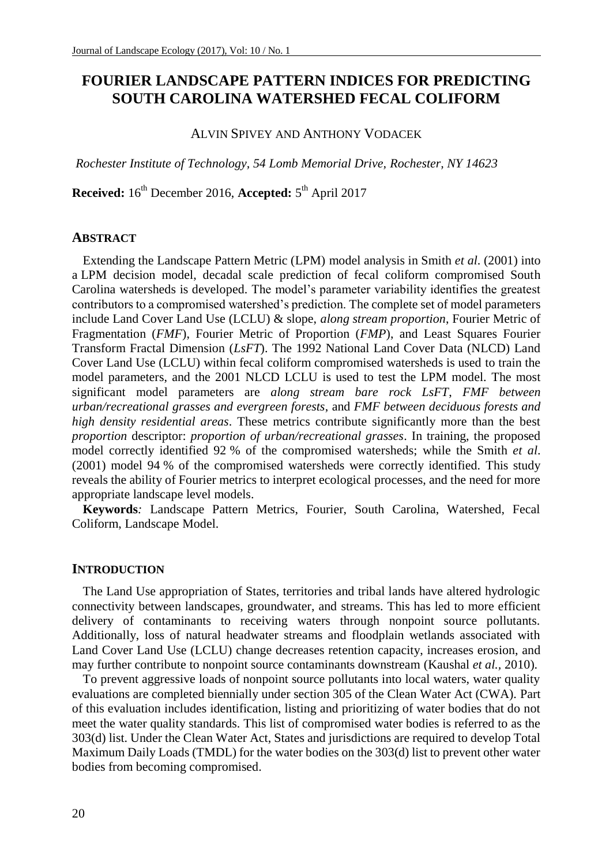# **FOURIER LANDSCAPE PATTERN INDICES FOR PREDICTING SOUTH CAROLINA WATERSHED FECAL COLIFORM**

### ALVIN SPIVEY AND ANTHONY VODACEK

*Rochester Institute of Technology, 54 Lomb Memorial Drive, Rochester, NY 14623*

**Received:** 16th December 2016, **Accepted:** 5 th April 2017

### **ABSTRACT**

Extending the Landscape Pattern Metric (LPM) model analysis in Smith *et al*. (2001) into a LPM decision model, decadal scale prediction of fecal coliform compromised South Carolina watersheds is developed. The model's parameter variability identifies the greatest contributors to a compromised watershed's prediction. The complete set of model parameters include Land Cover Land Use (LCLU) & slope, *along stream proportion*, Fourier Metric of Fragmentation (*FMF*), Fourier Metric of Proportion (*FMP*), and Least Squares Fourier Transform Fractal Dimension (*LsFT*). The 1992 National Land Cover Data (NLCD) Land Cover Land Use (LCLU) within fecal coliform compromised watersheds is used to train the model parameters, and the 2001 NLCD LCLU is used to test the LPM model. The most significant model parameters are *along stream bare rock LsFT*, *FMF between urban/recreational grasses and evergreen forests*, and *FMF between deciduous forests and high density residential areas*. These metrics contribute significantly more than the best *proportion* descriptor: *proportion of urban/recreational grasses*. In training, the proposed model correctly identified 92 % of the compromised watersheds; while the Smith *et al*. (2001) model 94 % of the compromised watersheds were correctly identified. This study reveals the ability of Fourier metrics to interpret ecological processes, and the need for more appropriate landscape level models.

**Keywords***:* Landscape Pattern Metrics, Fourier, South Carolina, Watershed, Fecal Coliform, Landscape Model.

### **INTRODUCTION**

The Land Use appropriation of States, territories and tribal lands have altered hydrologic connectivity between landscapes, groundwater, and streams. This has led to more efficient delivery of contaminants to receiving waters through nonpoint source pollutants. Additionally, loss of natural headwater streams and floodplain wetlands associated with Land Cover Land Use (LCLU) change decreases retention capacity, increases erosion, and may further contribute to nonpoint source contaminants downstream (Kaushal *et al.,* 2010).

To prevent aggressive loads of nonpoint source pollutants into local waters, water quality evaluations are completed biennially under section 305 of the Clean Water Act (CWA). Part of this evaluation includes identification, listing and prioritizing of water bodies that do not meet the water quality standards. This list of compromised water bodies is referred to as the 303(d) list. Under the Clean Water Act, States and jurisdictions are required to develop Total Maximum Daily Loads (TMDL) for the water bodies on the 303(d) list to prevent other water bodies from becoming compromised.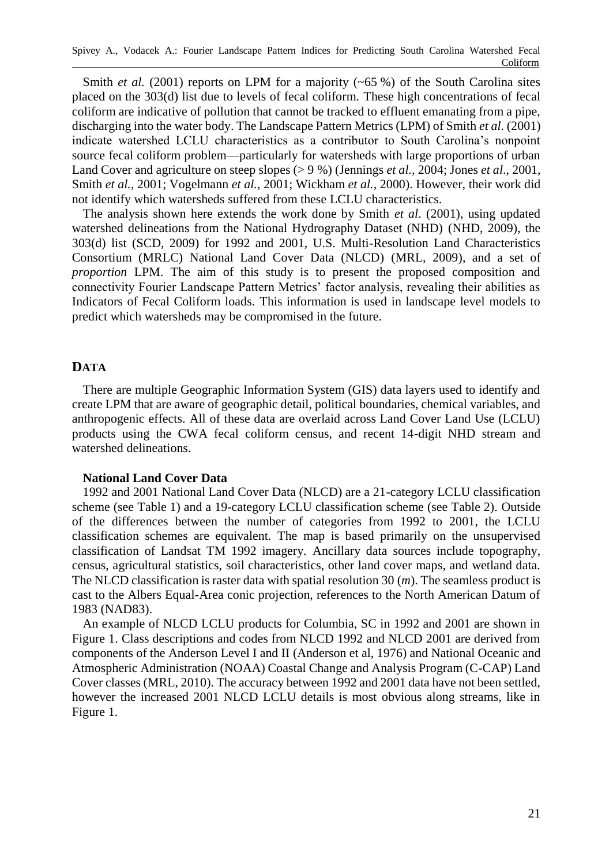Smith *et al.* (2001) reports on LPM for a majority  $(-65\%)$  of the South Carolina sites placed on the 303(d) list due to levels of fecal coliform. These high concentrations of fecal coliform are indicative of pollution that cannot be tracked to effluent emanating from a pipe, discharging into the water body. The Landscape Pattern Metrics (LPM) of Smith *et al*. (2001) indicate watershed LCLU characteristics as a contributor to South Carolina's nonpoint source fecal coliform problem—particularly for watersheds with large proportions of urban Land Cover and agriculture on steep slopes (> 9 %) (Jennings *et al.,* 2004; Jones *et al*., 2001, Smith *et al.,* 2001; Vogelmann *et al.,* 2001; Wickham *et al.,* 2000). However, their work did not identify which watersheds suffered from these LCLU characteristics.

The analysis shown here extends the work done by Smith *et al*. (2001), using updated watershed delineations from the National Hydrography Dataset (NHD) (NHD, 2009), the 303(d) list (SCD, 2009) for 1992 and 2001, U.S. Multi-Resolution Land Characteristics Consortium (MRLC) National Land Cover Data (NLCD) (MRL, 2009), and a set of *proportion* LPM. The aim of this study is to present the proposed composition and connectivity Fourier Landscape Pattern Metrics' factor analysis, revealing their abilities as Indicators of Fecal Coliform loads. This information is used in landscape level models to predict which watersheds may be compromised in the future.

## **DATA**

There are multiple Geographic Information System (GIS) data layers used to identify and create LPM that are aware of geographic detail, political boundaries, chemical variables, and anthropogenic effects. All of these data are overlaid across Land Cover Land Use (LCLU) products using the CWA fecal coliform census, and recent 14-digit NHD stream and watershed delineations.

## **National Land Cover Data**

1992 and 2001 National Land Cover Data (NLCD) are a 21-category LCLU classification scheme (see Table 1) and a 19-category LCLU classification scheme (see Table 2). Outside of the differences between the number of categories from 1992 to 2001, the LCLU classification schemes are equivalent. The map is based primarily on the unsupervised classification of Landsat TM 1992 imagery. Ancillary data sources include topography, census, agricultural statistics, soil characteristics, other land cover maps, and wetland data. The NLCD classification is raster data with spatial resolution 30 (*m*). The seamless product is cast to the Albers Equal-Area conic projection, references to the North American Datum of 1983 (NAD83).

An example of NLCD LCLU products for Columbia, SC in 1992 and 2001 are shown in Figure 1. Class descriptions and codes from NLCD 1992 and NLCD 2001 are derived from components of the Anderson Level I and II (Anderson et al, 1976) and National Oceanic and Atmospheric Administration (NOAA) Coastal Change and Analysis Program (C-CAP) Land Cover classes (MRL, 2010). The accuracy between 1992 and 2001 data have not been settled, however the increased 2001 NLCD LCLU details is most obvious along streams, like in Figure 1.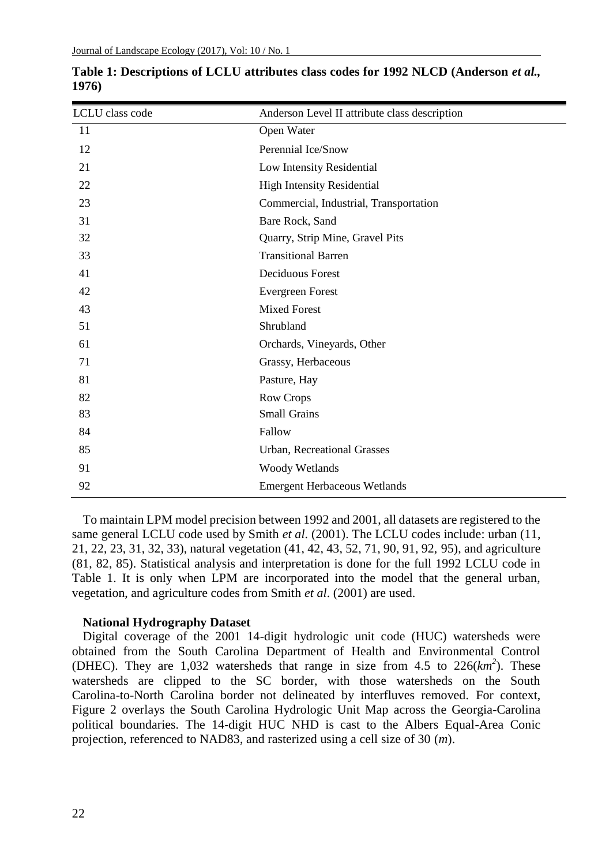| LCLU class code | Anderson Level II attribute class description |  |
|-----------------|-----------------------------------------------|--|
| 11              | Open Water                                    |  |
| 12              | Perennial Ice/Snow                            |  |
| 21              | Low Intensity Residential                     |  |
| 22              | <b>High Intensity Residential</b>             |  |
| 23              | Commercial, Industrial, Transportation        |  |
| 31              | Bare Rock, Sand                               |  |
| 32              | Quarry, Strip Mine, Gravel Pits               |  |
| 33              | <b>Transitional Barren</b>                    |  |
| 41              | <b>Deciduous Forest</b>                       |  |
| 42              | <b>Evergreen Forest</b>                       |  |
| 43              | <b>Mixed Forest</b>                           |  |
| 51              | Shrubland                                     |  |
| 61              | Orchards, Vineyards, Other                    |  |
| 71              | Grassy, Herbaceous                            |  |
| 81              | Pasture, Hay                                  |  |
| 82              | Row Crops                                     |  |
| 83              | <b>Small Grains</b>                           |  |
| 84              | Fallow                                        |  |
| 85              | <b>Urban, Recreational Grasses</b>            |  |
| 91              | Woody Wetlands                                |  |
| 92              | <b>Emergent Herbaceous Wetlands</b>           |  |

**Table 1: Descriptions of LCLU attributes class codes for 1992 NLCD (Anderson** *et al.,* **1976)**

To maintain LPM model precision between 1992 and 2001, all datasets are registered to the same general LCLU code used by Smith *et al*. (2001). The LCLU codes include: urban (11, 21, 22, 23, 31, 32, 33), natural vegetation (41, 42, 43, 52, 71, 90, 91, 92, 95), and agriculture (81, 82, 85). Statistical analysis and interpretation is done for the full 1992 LCLU code in Table 1. It is only when LPM are incorporated into the model that the general urban, vegetation, and agriculture codes from Smith *et al*. (2001) are used.

### **National Hydrography Dataset**

Digital coverage of the 2001 14-digit hydrologic unit code (HUC) watersheds were obtained from the South Carolina Department of Health and Environmental Control (DHEC). They are  $1,032$  watersheds that range in size from  $4.5$  to  $226(km^2)$ . These watersheds are clipped to the SC border, with those watersheds on the South Carolina-to-North Carolina border not delineated by interfluves removed. For context, Figure 2 overlays the South Carolina Hydrologic Unit Map across the Georgia-Carolina political boundaries. The 14-digit HUC NHD is cast to the Albers Equal-Area Conic projection, referenced to NAD83, and rasterized using a cell size of 30 (*m*).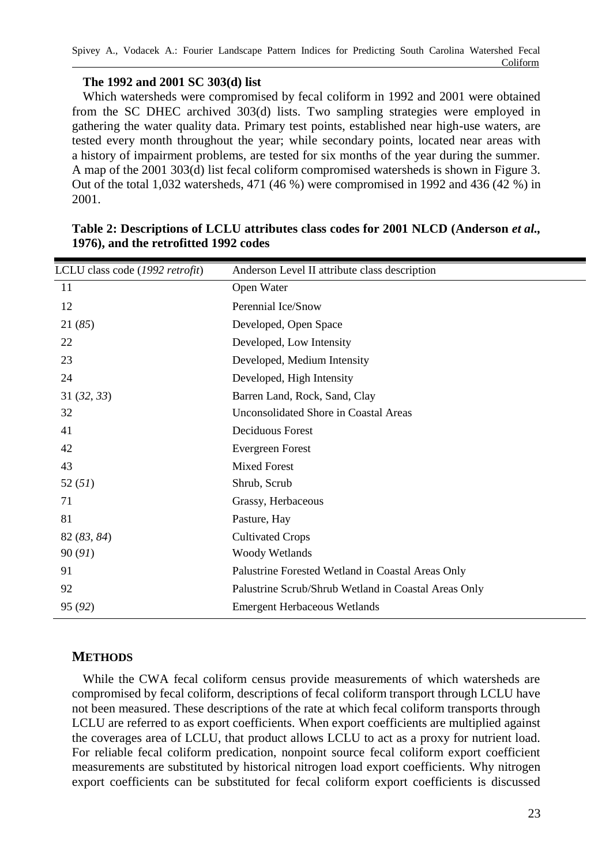## **The 1992 and 2001 SC 303(d) list**

Which watersheds were compromised by fecal coliform in 1992 and 2001 were obtained from the SC DHEC archived 303(d) lists. Two sampling strategies were employed in gathering the water quality data. Primary test points, established near high-use waters, are tested every month throughout the year; while secondary points, located near areas with a history of impairment problems, are tested for six months of the year during the summer. A map of the 2001 303(d) list fecal coliform compromised watersheds is shown in Figure 3. Out of the total 1,032 watersheds, 471 (46 %) were compromised in 1992 and 436 (42 %) in 2001.

| LCLU class code (1992 retrofit) | Anderson Level II attribute class description        |  |
|---------------------------------|------------------------------------------------------|--|
| 11                              | Open Water                                           |  |
| 12                              | Perennial Ice/Snow                                   |  |
| 21(85)                          | Developed, Open Space                                |  |
| 22                              | Developed, Low Intensity                             |  |
| 23                              | Developed, Medium Intensity                          |  |
| 24                              | Developed, High Intensity                            |  |
| 31(32, 33)                      | Barren Land, Rock, Sand, Clay                        |  |
| 32                              | Unconsolidated Shore in Coastal Areas                |  |
| 41                              | Deciduous Forest                                     |  |
| 42                              | Evergreen Forest                                     |  |
| 43                              | <b>Mixed Forest</b>                                  |  |
| 52(51)                          | Shrub, Scrub                                         |  |
| 71                              | Grassy, Herbaceous                                   |  |
| 81                              | Pasture, Hay                                         |  |
| 82 (83, 84)                     | <b>Cultivated Crops</b>                              |  |
| 90(91)                          | Woody Wetlands                                       |  |
| 91                              | Palustrine Forested Wetland in Coastal Areas Only    |  |
| 92                              | Palustrine Scrub/Shrub Wetland in Coastal Areas Only |  |
| 95 (92)                         | <b>Emergent Herbaceous Wetlands</b>                  |  |
|                                 |                                                      |  |

## **Table 2: Descriptions of LCLU attributes class codes for 2001 NLCD (Anderson** *et al.,* **1976), and the retrofitted 1992 codes**

# **METHODS**

While the CWA fecal coliform census provide measurements of which watersheds are compromised by fecal coliform, descriptions of fecal coliform transport through LCLU have not been measured. These descriptions of the rate at which fecal coliform transports through LCLU are referred to as export coefficients. When export coefficients are multiplied against the coverages area of LCLU, that product allows LCLU to act as a proxy for nutrient load. For reliable fecal coliform predication, nonpoint source fecal coliform export coefficient measurements are substituted by historical nitrogen load export coefficients. Why nitrogen export coefficients can be substituted for fecal coliform export coefficients is discussed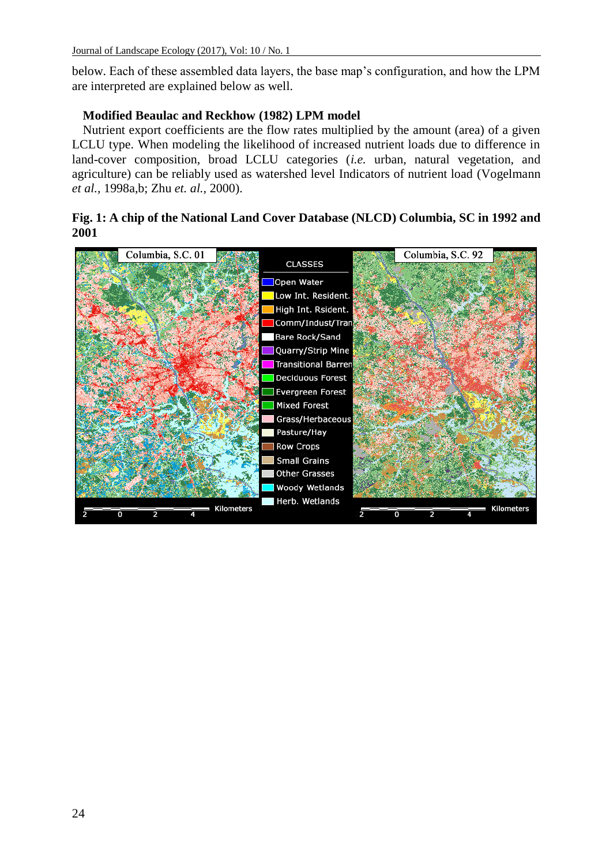below. Each of these assembled data layers, the base map's configuration, and how the LPM are interpreted are explained below as well.

### **Modified Beaulac and Reckhow (1982) LPM model**

Nutrient export coefficients are the flow rates multiplied by the amount (area) of a given LCLU type. When modeling the likelihood of increased nutrient loads due to difference in land-cover composition, broad LCLU categories (*i.e.* urban, natural vegetation, and agriculture) can be reliably used as watershed level Indicators of nutrient load (Vogelmann *et al.,* 1998a,b; Zhu *et. al.,* 2000).

## **Fig. 1: A chip of the National Land Cover Database (NLCD) Columbia, SC in 1992 and 2001**

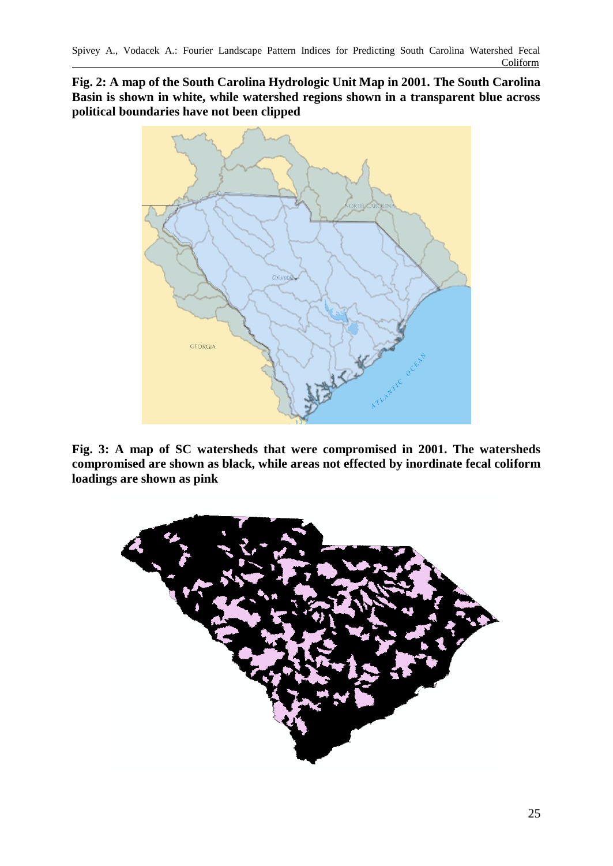**Fig. 2: A map of the South Carolina Hydrologic Unit Map in 2001. The South Carolina Basin is shown in white, while watershed regions shown in a transparent blue across political boundaries have not been clipped**



**Fig. 3: A map of SC watersheds that were compromised in 2001. The watersheds compromised are shown as black, while areas not effected by inordinate fecal coliform loadings are shown as pink**

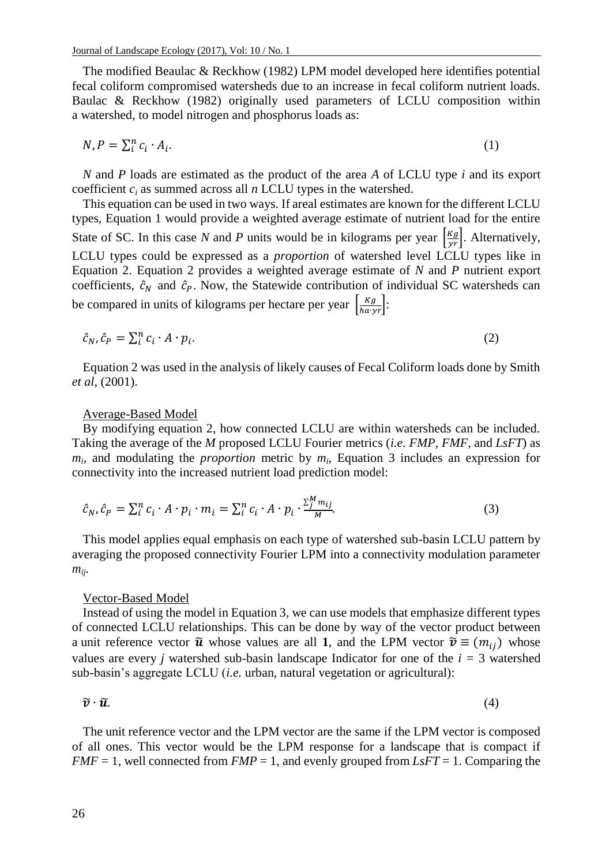The modified Beaulac & Reckhow (1982) LPM model developed here identifies potential fecal coliform compromised watersheds due to an increase in fecal coliform nutrient loads. Baulac & Reckhow (1982) originally used parameters of LCLU composition within a watershed, to model nitrogen and phosphorus loads as:

$$
N, P = \sum_{i}^{n} c_i \cdot A_i. \tag{1}
$$

*N* and *P* loads are estimated as the product of the area *A* of LCLU type *i* and its export coefficient *c<sup>i</sup>* as summed across all *n* LCLU types in the watershed.

This equation can be used in two ways. If areal estimates are known for the different LCLU types, Equation 1 would provide a weighted average estimate of nutrient load for the entire State of SC. In this case *N* and *P* units would be in kilograms per year  $\left[\frac{Kg}{yr}\right]$ . Alternatively, LCLU types could be expressed as a *proportion* of watershed level LCLU types like in Equation 2. Equation 2 provides a weighted average estimate of *N* and *P* nutrient export coefficients,  $\hat{c}_N$  and  $\hat{c}_P$ . Now, the Statewide contribution of individual SC watersheds can be compared in units of kilograms per hectare per year  $\frac{Kg}{h\alpha yr}$ :

$$
\hat{c}_N, \hat{c}_P = \sum_i^n c_i \cdot A \cdot p_i. \tag{2}
$$

Equation 2 was used in the analysis of likely causes of Fecal Coliform loads done by Smith *et al,* (2001).

#### Average-Based Model

By modifying equation 2, how connected LCLU are within watersheds can be included. Taking the average of the *M* proposed LCLU Fourier metrics (*i.e. FMP*, *FMF*, and *LsFT*) as *mi* , and modulating the *proportion* metric by *m<sup>i</sup>* , Equation 3 includes an expression for connectivity into the increased nutrient load prediction model:

$$
\hat{c}_N, \hat{c}_P = \sum_i^n c_i \cdot A \cdot p_i \cdot m_i = \sum_i^n c_i \cdot A \cdot p_i \cdot \frac{\sum_j^M m_{ij}}{M}.
$$
\n(3)

This model applies equal emphasis on each type of watershed sub-basin LCLU pattern by averaging the proposed connectivity Fourier LPM into a connectivity modulation parameter *mij*.

#### Vector-Based Model

Instead of using the model in Equation 3, we can use models that emphasize different types of connected LCLU relationships. This can be done by way of the vector product between a unit reference vector  $\tilde{u}$  whose values are all 1, and the LPM vector  $\tilde{v} \equiv (m_{ij})$  whose values are every *j* watershed sub-basin landscape Indicator for one of the  $i = 3$  watershed sub-basin's aggregate LCLU (*i.e.* urban, natural vegetation or agricultural):

$$
\widetilde{\mathbf{v}} \cdot \widetilde{\mathbf{u}}.\tag{4}
$$

The unit reference vector and the LPM vector are the same if the LPM vector is composed of all ones. This vector would be the LPM response for a landscape that is compact if *FMF* = 1, well connected from *FMP* = 1, and evenly grouped from *LsFT* = 1. Comparing the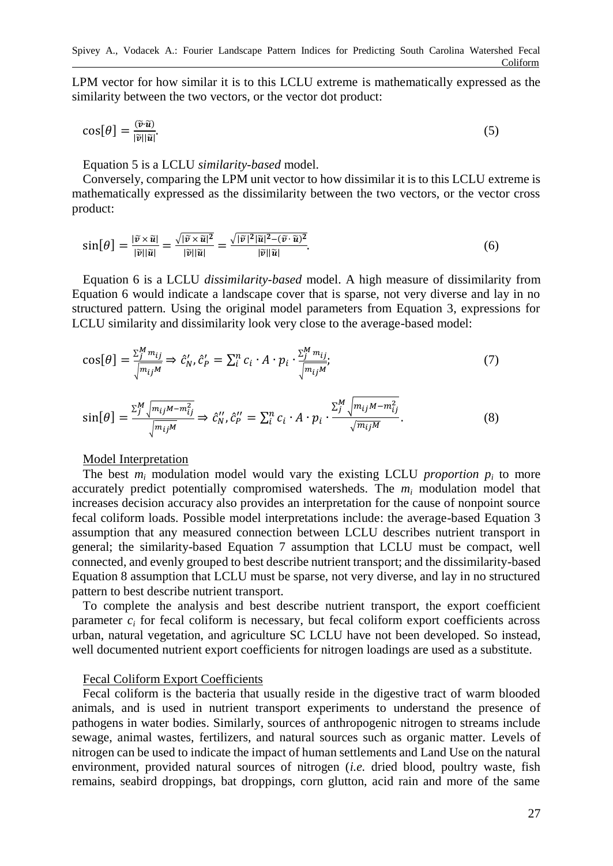LPM vector for how similar it is to this LCLU extreme is mathematically expressed as the similarity between the two vectors, or the vector dot product:

$$
\cos[\theta] = \frac{\partial \tilde{u}}{|\tilde{v}||\tilde{u}|}.\tag{5}
$$

Equation 5 is a LCLU *similarity-based* model.

Conversely, comparing the LPM unit vector to how dissimilar it is to this LCLU extreme is mathematically expressed as the dissimilarity between the two vectors, or the vector cross product:

$$
\sin[\theta] = \frac{|\tilde{v} \times \tilde{u}|}{|\tilde{v}||\tilde{u}|} = \frac{\sqrt{|\tilde{v} \times \tilde{u}|^2}}{|\tilde{v}||\tilde{u}|} = \frac{\sqrt{|\tilde{v}|^2 |\tilde{u}|^2 - (\tilde{v} \cdot \tilde{u})^2}}{|\tilde{v}||\tilde{u}|}. \tag{6}
$$

Equation 6 is a LCLU *dissimilarity-based* model. A high measure of dissimilarity from Equation 6 would indicate a landscape cover that is sparse, not very diverse and lay in no structured pattern. Using the original model parameters from Equation 3, expressions for LCLU similarity and dissimilarity look very close to the average-based model:

$$
\cos[\theta] = \frac{\sum_{j}^{M} m_{ij}}{\sqrt{m_{ij}M}} \Rightarrow \hat{c}_N', \hat{c}_P' = \sum_{i}^{n} c_i \cdot A \cdot p_i \cdot \frac{\sum_{j}^{M} m_{ij}}{\sqrt{m_{ij}M}};
$$
\n(7)

$$
\sin[\theta] = \frac{\sum_{j}^{M} \sqrt{m_{ij}M - m_{ij}^{2}}}{\sqrt{m_{ij}M}} \Rightarrow \hat{c}_{N}'' , \hat{c}_{P}'' = \sum_{i}^{n} c_{i} \cdot A \cdot p_{i} \cdot \frac{\sum_{j}^{M} \sqrt{m_{ij}M - m_{ij}^{2}}}{\sqrt{m_{ij}M}}.
$$
\n(8)

### Model Interpretation

The best  $m_i$  modulation model would vary the existing LCLU *proportion*  $p_i$  to more accurately predict potentially compromised watersheds. The *m<sup>i</sup>* modulation model that increases decision accuracy also provides an interpretation for the cause of nonpoint source fecal coliform loads. Possible model interpretations include: the average-based Equation 3 assumption that any measured connection between LCLU describes nutrient transport in general; the similarity-based Equation 7 assumption that LCLU must be compact, well connected, and evenly grouped to best describe nutrient transport; and the dissimilarity-based Equation 8 assumption that LCLU must be sparse, not very diverse, and lay in no structured pattern to best describe nutrient transport.

To complete the analysis and best describe nutrient transport, the export coefficient parameter  $c_i$  for fecal coliform is necessary, but fecal coliform export coefficients across urban, natural vegetation, and agriculture SC LCLU have not been developed. So instead, well documented nutrient export coefficients for nitrogen loadings are used as a substitute.

### Fecal Coliform Export Coefficients

Fecal coliform is the bacteria that usually reside in the digestive tract of warm blooded animals, and is used in nutrient transport experiments to understand the presence of pathogens in water bodies. Similarly, sources of anthropogenic nitrogen to streams include sewage, animal wastes, fertilizers, and natural sources such as organic matter. Levels of nitrogen can be used to indicate the impact of human settlements and Land Use on the natural environment, provided natural sources of nitrogen (*i.e.* dried blood, poultry waste, fish remains, seabird droppings, bat droppings, corn glutton, acid rain and more of the same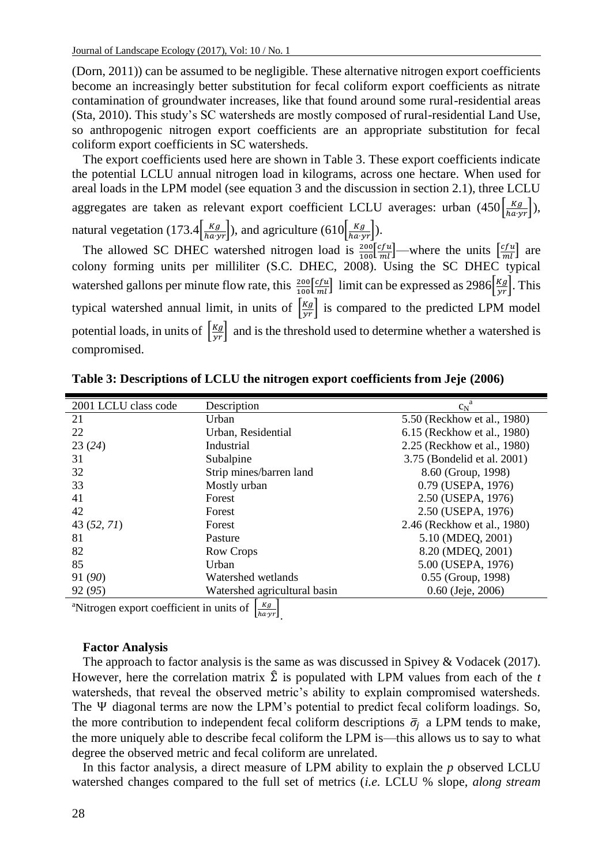(Dorn, 2011)) can be assumed to be negligible. These alternative nitrogen export coefficients become an increasingly better substitution for fecal coliform export coefficients as nitrate contamination of groundwater increases, like that found around some rural-residential areas (Sta, 2010). This study's SC watersheds are mostly composed of rural-residential Land Use, so anthropogenic nitrogen export coefficients are an appropriate substitution for fecal coliform export coefficients in SC watersheds.

The export coefficients used here are shown in Table 3. These export coefficients indicate the potential LCLU annual nitrogen load in kilograms, across one hectare. When used for areal loads in the LPM model (see equation 3 and the discussion in section 2.1), three LCLU aggregates are taken as relevant export coefficient LCLU averages: urban  $(450\frac{kg}{hayr})$ , natural vegetation (173.4 $\left(\frac{Kg}{hayr}\right)$ ), and agriculture (610 $\left(\frac{Kg}{hayr}\right)$ ).

The allowed SC DHEC watershed nitrogen load is  $\frac{200}{100} \frac{[cfu]}{m}$  where the units  $\left[\frac{cfu}{m!}\right]$  are colony forming units per milliliter (S.C. DHEC, 2008). Using the SC DHEC typical watershed gallons per minute flow rate, this  $\frac{200}{100} \left[ \frac{c f u}{m l} \right]$  limit can be expressed as 2986 $\left[ \frac{K g}{yr} \right]$ . This typical watershed annual limit, in units of  $\frac{Kg}{yr}$  is compared to the predicted LPM model potential loads, in units of  $\left|\frac{Kg}{yr}\right|$  and is the threshold used to determine whether a watershed is compromised.

| 2001 LCLU class code                                      | Description                  | $c_N^a$                     |
|-----------------------------------------------------------|------------------------------|-----------------------------|
| 21                                                        | Urban                        | 5.50 (Reckhow et al., 1980) |
| 22                                                        | Urban, Residential           | 6.15 (Reckhow et al., 1980) |
| 23(24)                                                    | Industrial                   | 2.25 (Reckhow et al., 1980) |
| 31                                                        | Subalpine                    | 3.75 (Bondelid et al. 2001) |
| 32                                                        | Strip mines/barren land      | 8.60 (Group, 1998)          |
| 33                                                        | Mostly urban                 | 0.79 (USEPA, 1976)          |
| 41                                                        | Forest                       | 2.50 (USEPA, 1976)          |
| 42                                                        | Forest                       | 2.50 (USEPA, 1976)          |
| 43 (52, 71)                                               | Forest                       | 2.46 (Reckhow et al., 1980) |
| 81                                                        | Pasture                      | 5.10 (MDEO, 2001)           |
| 82                                                        | Row Crops                    | 8.20 (MDEQ, 2001)           |
| 85                                                        | Urban                        | 5.00 (USEPA, 1976)          |
| 91 (90)                                                   | Watershed wetlands           | $0.55$ (Group, 1998)        |
| 92 (95)                                                   | Watershed agricultural basin | $0.60$ (Jeje, 2006)         |
| <sup>a</sup> Nitrogan export coefficient in unite of $Kg$ |                              |                             |

**Table 3: Descriptions of LCLU the nitrogen export coefficients from Jeje (2006)**

<sup>a</sup>Nitrogen export coefficient in units of  $\left[\frac{Kg}{h\alpha yr}\right]$ .

### **Factor Analysis**

The approach to factor analysis is the same as was discussed in Spivey & Vodacek (2017). However, here the correlation matrix  $\hat{\Sigma}$  is populated with LPM values from each of the *t* watersheds, that reveal the observed metric's ability to explain compromised watersheds. The  $\Psi$  diagonal terms are now the LPM's potential to predict fecal coliform loadings. So, the more contribution to independent fecal coliform descriptions  $\bar{\sigma}_i$  a LPM tends to make, the more uniquely able to describe fecal coliform the LPM is—this allows us to say to what degree the observed metric and fecal coliform are unrelated.

In this factor analysis, a direct measure of LPM ability to explain the *p* observed LCLU watershed changes compared to the full set of metrics (*i.e.* LCLU % slope, *along stream*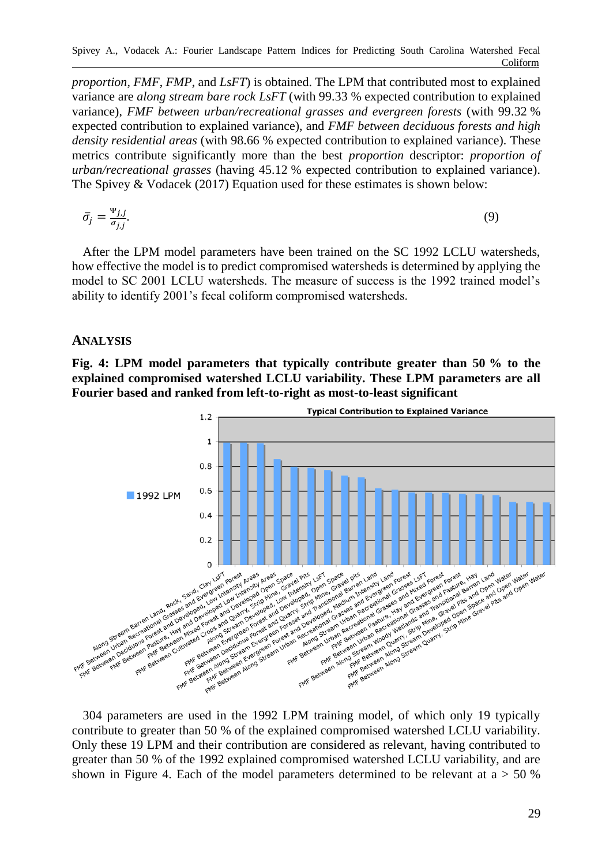*proportion*, *FMF*, *FMP*, and *LsFT*) is obtained. The LPM that contributed most to explained variance are *along stream bare rock LsFT* (with 99.33 % expected contribution to explained variance), *FMF between urban/recreational grasses and evergreen forests* (with 99.32 % expected contribution to explained variance), and *FMF between deciduous forests and high density residential areas* (with 98.66 % expected contribution to explained variance). These metrics contribute significantly more than the best *proportion* descriptor: *proportion of urban/recreational grasses* (having 45.12 % expected contribution to explained variance). The Spivey & Vodacek (2017) Equation used for these estimates is shown below:

$$
\bar{\sigma}_j = \frac{\Psi_{j,j}}{\sigma_{j,j}}.\tag{9}
$$

After the LPM model parameters have been trained on the SC 1992 LCLU watersheds, how effective the model is to predict compromised watersheds is determined by applying the model to SC 2001 LCLU watersheds. The measure of success is the 1992 trained model's ability to identify 2001's fecal coliform compromised watersheds.

## **ANALYSIS**

**Fig. 4: LPM model parameters that typically contribute greater than 50 % to the explained compromised watershed LCLU variability. These LPM parameters are all Fourier based and ranked from left-to-right as most-to-least significant**



contribute to greater than 50 % of the explained compromised watershed LCLU variability. Only these 19 LPM and their contribution are considered as relevant, having contributed to greater than 50 % of the 1992 explained compromised watershed LCLU variability, and are shown in Figure 4. Each of the model parameters determined to be relevant at  $a > 50$  %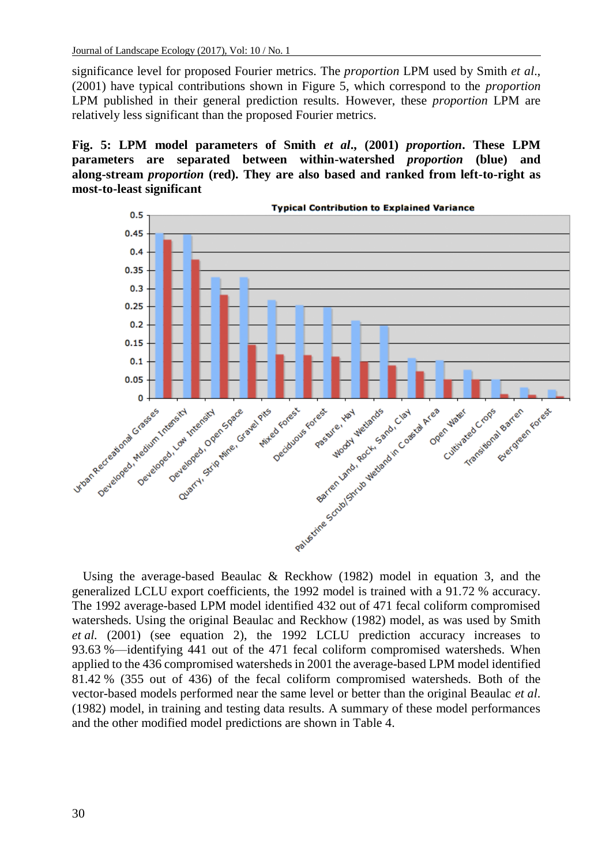significance level for proposed Fourier metrics. The *proportion* LPM used by Smith *et al*., (2001) have typical contributions shown in Figure 5, which correspond to the *proportion* LPM published in their general prediction results. However, these *proportion* LPM are relatively less significant than the proposed Fourier metrics.

**Fig. 5: LPM model parameters of Smith** *et al***., (2001)** *proportion***. These LPM parameters are separated between within-watershed** *proportion* **(blue) and along-stream** *proportion* **(red). They are also based and ranked from left-to-right as most-to-least significant**



Using the average-based Beaulac & Reckhow (1982) model in equation 3, and the generalized LCLU export coefficients, the 1992 model is trained with a 91.72 % accuracy. The 1992 average-based LPM model identified 432 out of 471 fecal coliform compromised watersheds. Using the original Beaulac and Reckhow (1982) model, as was used by Smith *et al.* (2001) (see equation 2), the 1992 LCLU prediction accuracy increases to 93.63 %—identifying 441 out of the 471 fecal coliform compromised watersheds. When applied to the 436 compromised watersheds in 2001 the average-based LPM model identified 81.42 % (355 out of 436) of the fecal coliform compromised watersheds. Both of the vector-based models performed near the same level or better than the original Beaulac *et al*. (1982) model, in training and testing data results. A summary of these model performances and the other modified model predictions are shown in Table 4.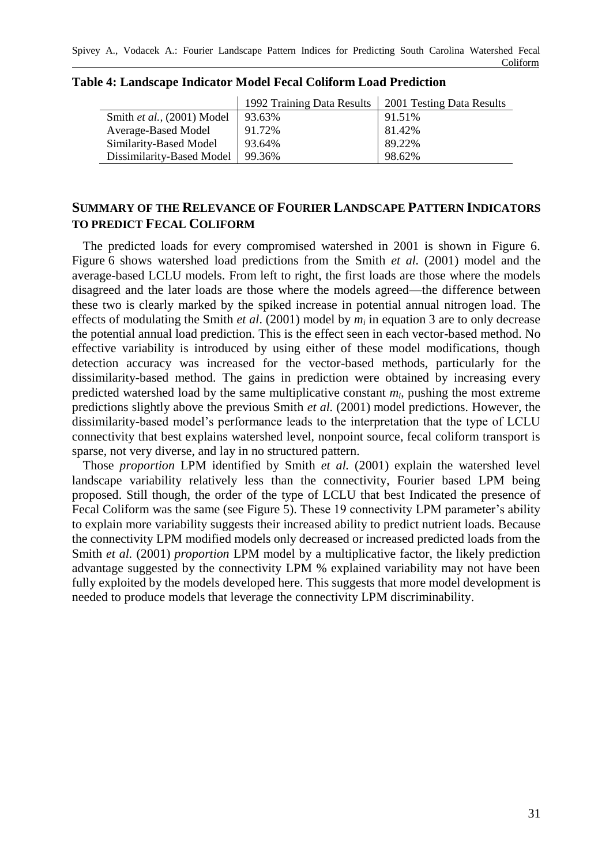|                            | 1992 Training Data Results | 2001 Testing Data Results |
|----------------------------|----------------------------|---------------------------|
| Smith et al., (2001) Model | 93.63%                     | 91.51%                    |
| Average-Based Model        | 91.72%                     | 81.42%                    |
| Similarity-Based Model     | 93.64%                     | 89.22%                    |
| Dissimilarity-Based Model  | 99.36%                     | 98.62%                    |

### **Table 4: Landscape Indicator Model Fecal Coliform Load Prediction**

# **SUMMARY OF THE RELEVANCE OF FOURIER LANDSCAPE PATTERN INDICATORS TO PREDICT FECAL COLIFORM**

The predicted loads for every compromised watershed in 2001 is shown in Figure 6. Figure 6 shows watershed load predictions from the Smith *et al.* (2001) model and the average-based LCLU models. From left to right, the first loads are those where the models disagreed and the later loads are those where the models agreed—the difference between these two is clearly marked by the spiked increase in potential annual nitrogen load. The effects of modulating the Smith *et al*. (2001) model by *m<sup>i</sup>* in equation 3 are to only decrease the potential annual load prediction. This is the effect seen in each vector-based method. No effective variability is introduced by using either of these model modifications, though detection accuracy was increased for the vector-based methods, particularly for the dissimilarity-based method. The gains in prediction were obtained by increasing every predicted watershed load by the same multiplicative constant *m<sup>i</sup>* , pushing the most extreme predictions slightly above the previous Smith *et al.* (2001) model predictions. However, the dissimilarity-based model's performance leads to the interpretation that the type of LCLU connectivity that best explains watershed level, nonpoint source, fecal coliform transport is sparse, not very diverse, and lay in no structured pattern.

Those *proportion* LPM identified by Smith *et al.* (2001) explain the watershed level landscape variability relatively less than the connectivity, Fourier based LPM being proposed. Still though, the order of the type of LCLU that best Indicated the presence of Fecal Coliform was the same (see Figure 5). These 19 connectivity LPM parameter's ability to explain more variability suggests their increased ability to predict nutrient loads. Because the connectivity LPM modified models only decreased or increased predicted loads from the Smith *et al.* (2001) *proportion* LPM model by a multiplicative factor, the likely prediction advantage suggested by the connectivity LPM % explained variability may not have been fully exploited by the models developed here. This suggests that more model development is needed to produce models that leverage the connectivity LPM discriminability.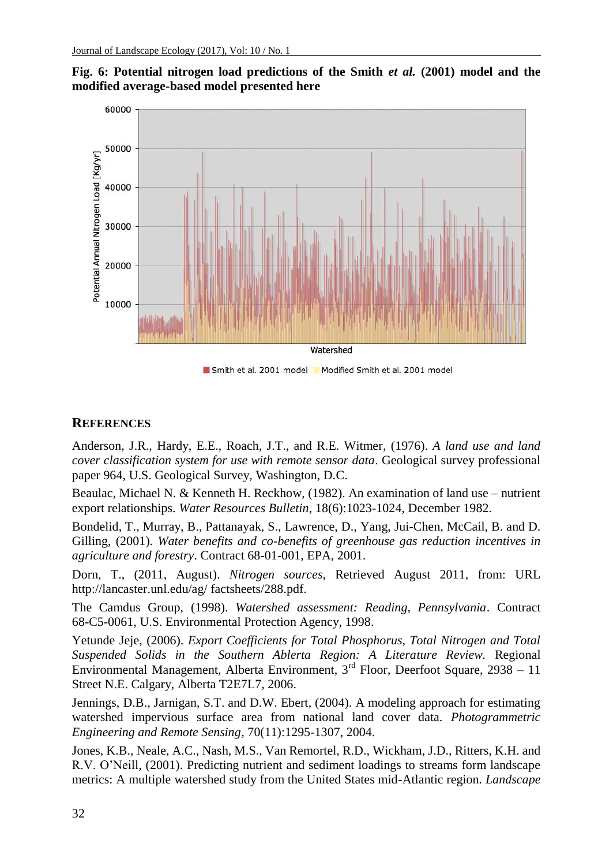

**Fig. 6: Potential nitrogen load predictions of the Smith** *et al.* **(2001) model and the modified average-based model presented here**

Smith et al. 2001 model Modified Smith et al. 2001 model

## **REFERENCES**

Anderson, J.R., Hardy, E.E., Roach, J.T., and R.E. Witmer, (1976). *A land use and land cover classification system for use with remote sensor data*. Geological survey professional paper 964, U.S. Geological Survey, Washington, D.C.

Beaulac, Michael N. & Kenneth H. Reckhow, (1982). An examination of land use – nutrient export relationships. *Water Resources Bulletin*, 18(6):1023-1024, December 1982.

Bondelid, T., Murray, B., Pattanayak, S., Lawrence, D., Yang, Jui-Chen, McCail, B. and D. Gilling, (2001). *Water benefits and co-benefits of greenhouse gas reduction incentives in agriculture and forestry*. Contract 68-01-001, EPA, 2001.

Dorn, T., (2011, August). *Nitrogen sources*, Retrieved August 2011, from: URL http://lancaster.unl.edu/ag/ factsheets/288.pdf.

The Camdus Group, (1998). *Watershed assessment: Reading, Pennsylvania*. Contract 68-C5-0061, U.S. Environmental Protection Agency, 1998.

Yetunde Jeje, (2006). *Export Coefficients for Total Phosphorus, Total Nitrogen and Total Suspended Solids in the Southern Ablerta Region: A Literature Review.* Regional Environmental Management, Alberta Environment, 3rd Floor, Deerfoot Square, 2938 – 11 Street N.E. Calgary, Alberta T2E7L7, 2006.

Jennings, D.B., Jarnigan, S.T. and D.W. Ebert, (2004). A modeling approach for estimating watershed impervious surface area from national land cover data. *Photogrammetric Engineering and Remote Sensing,* 70(11):1295-1307, 2004.

Jones, K.B., Neale, A.C., Nash, M.S., Van Remortel, R.D., Wickham, J.D., Ritters, K.H. and R.V. O'Neill, (2001). Predicting nutrient and sediment loadings to streams form landscape metrics: A multiple watershed study from the United States mid-Atlantic region. *Landscape*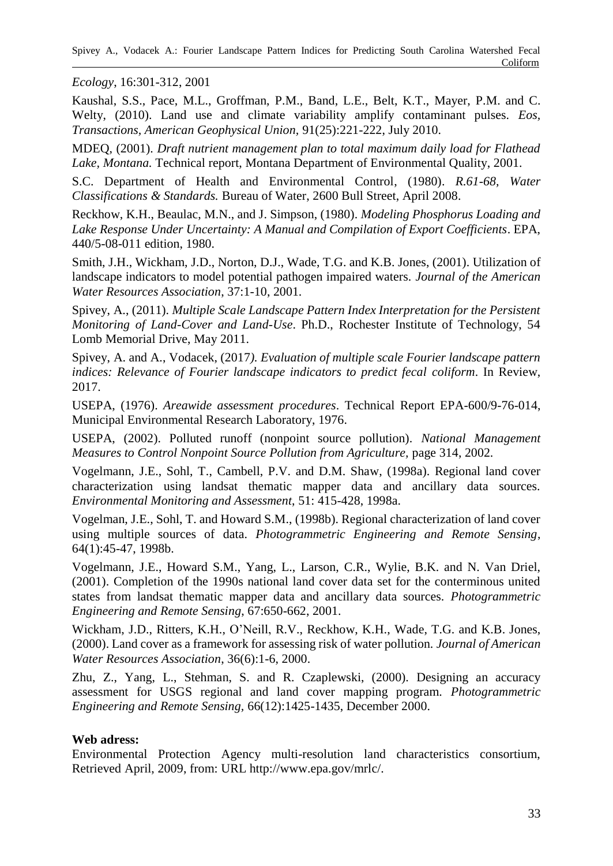*Ecology*, 16:301-312, 2001

Kaushal, S.S., Pace, M.L., Groffman, P.M., Band, L.E., Belt, K.T., Mayer, P.M. and C. Welty, (2010). Land use and climate variability amplify contaminant pulses. *Eos, Transactions, American Geophysical Union,* 91(25):221-222, July 2010.

MDEQ, (2001). *Draft nutrient management plan to total maximum daily load for Flathead Lake, Montana.* Technical report, Montana Department of Environmental Quality, 2001.

S.C. Department of Health and Environmental Control, (1980). *R.61-68, Water Classifications & Standards.* Bureau of Water, 2600 Bull Street, April 2008.

Reckhow, K.H., Beaulac, M.N., and J. Simpson, (1980). *Modeling Phosphorus Loading and Lake Response Under Uncertainty: A Manual and Compilation of Export Coefficients*. EPA, 440/5-08-011 edition, 1980.

Smith, J.H., Wickham, J.D., Norton, D.J., Wade, T.G. and K.B. Jones, (2001). Utilization of landscape indicators to model potential pathogen impaired waters. *Journal of the American Water Resources Association*, 37:1-10, 2001.

Spivey, A., (2011). *Multiple Scale Landscape Pattern Index Interpretation for the Persistent Monitoring of Land-Cover and Land-Use*. Ph.D., Rochester Institute of Technology, 54 Lomb Memorial Drive, May 2011.

Spivey, A. and A., Vodacek, (2017*). Evaluation of multiple scale Fourier landscape pattern indices: Relevance of Fourier landscape indicators to predict fecal coliform*. In Review, 2017.

USEPA, (1976). *Areawide assessment procedures*. Technical Report EPA-600/9-76-014, Municipal Environmental Research Laboratory, 1976.

USEPA, (2002). Polluted runoff (nonpoint source pollution). *National Management Measures to Control Nonpoint Source Pollution from Agriculture,* page 314, 2002.

Vogelmann, J.E., Sohl, T., Cambell, P.V. and D.M. Shaw, (1998a). Regional land cover characterization using landsat thematic mapper data and ancillary data sources. *Environmental Monitoring and Assessment*, 51: 415-428, 1998a.

Vogelman, J.E., Sohl, T. and Howard S.M., (1998b). Regional characterization of land cover using multiple sources of data. *Photogrammetric Engineering and Remote Sensing*, 64(1):45-47, 1998b.

Vogelmann, J.E., Howard S.M., Yang, L., Larson, C.R., Wylie, B.K. and N. Van Driel, (2001). Completion of the 1990s national land cover data set for the conterminous united states from landsat thematic mapper data and ancillary data sources. *Photogrammetric Engineering and Remote Sensing*, 67:650-662, 2001.

Wickham, J.D., Ritters, K.H., O'Neill, R.V., Reckhow, K.H., Wade, T.G. and K.B. Jones, (2000). Land cover as a framework for assessing risk of water pollution. *Journal of American Water Resources Association*, 36(6):1-6, 2000.

Zhu, Z., Yang, L., Stehman, S. and R. Czaplewski, (2000). Designing an accuracy assessment for USGS regional and land cover mapping program. *Photogrammetric Engineering and Remote Sensing,* 66(12):1425-1435, December 2000.

## **Web adress:**

Environmental Protection Agency multi-resolution land characteristics consortium, Retrieved April, 2009, from: URL http://www.epa.gov/mrlc/.